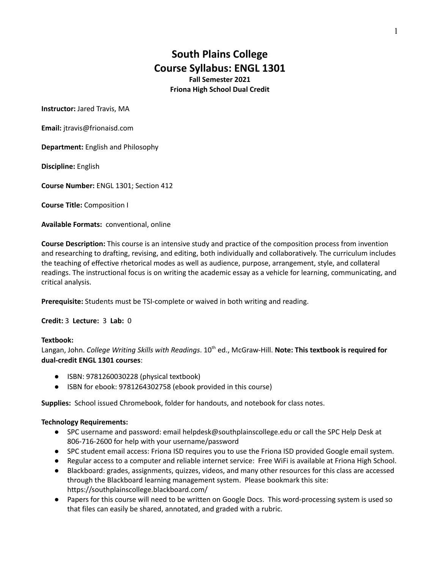# **South Plains College Course Syllabus: ENGL 1301 Fall Semester 2021 Friona High School Dual Credit**

**Instructor:** Jared Travis, MA

**Email:** jtravis@frionaisd.com

**Department:** English and Philosophy

**Discipline:** English

**Course Number:** ENGL 1301; Section 412

**Course Title:** Composition I

**Available Formats:** conventional, online

**Course Description:** This course is an intensive study and practice of the composition process from invention and researching to drafting, revising, and editing, both individually and collaboratively. The curriculum includes the teaching of effective rhetorical modes as well as audience, purpose, arrangement, style, and collateral readings. The instructional focus is on writing the academic essay as a vehicle for learning, communicating, and critical analysis.

**Prerequisite:** Students must be TSI-complete or waived in both writing and reading.

**Credit:** 3 **Lecture:** 3 **Lab:** 0

#### **Textbook:**

Langan, John. *College Writing Skills with Readings*. 10 th ed., McGraw-Hill. **Note: This textbook is required for dual-credit ENGL 1301 courses**:

- **●** ISBN: 9781260030228 (physical textbook)
- **●** ISBN for ebook: 9781264302758 (ebook provided in this course)

**Supplies:** School issued Chromebook, folder for handouts, and notebook for class notes.

#### **Technology Requirements:**

- SPC username and password: email helpdesk@southplainscollege.edu or call the SPC Help Desk at 806-716-2600 for help with your username/password
- SPC student email access: Friona ISD requires you to use the Friona ISD provided Google email system.
- Regular access to a computer and reliable internet service: Free WiFi is available at Friona High School.
- Blackboard: grades, assignments, quizzes, videos, and many other resources for this class are accessed through the Blackboard learning management system. Please bookmark this site: https://southplainscollege.blackboard.com/
- Papers for this course will need to be written on Google Docs. This word-processing system is used so that files can easily be shared, annotated, and graded with a rubric.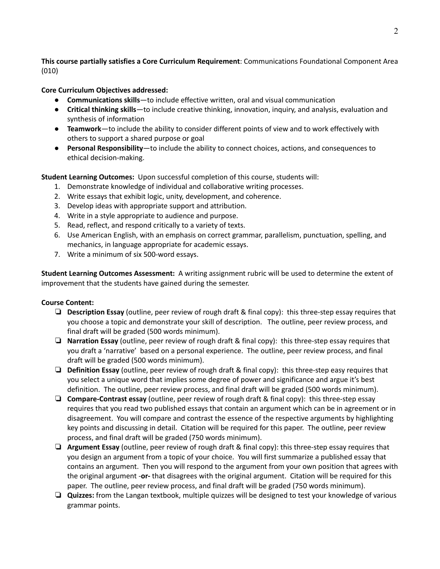**This course partially satisfies a Core Curriculum Requirement**: Communications Foundational Component Area (010)

**Core Curriculum Objectives addressed:**

- **● Communications skills**—to include effective written, oral and visual communication
- **● Critical thinking skills**—to include creative thinking, innovation, inquiry, and analysis, evaluation and synthesis of information
- **● Teamwork**—to include the ability to consider different points of view and to work effectively with others to support a shared purpose or goal
- **● Personal Responsibility**—to include the ability to connect choices, actions, and consequences to ethical decision-making.

**Student Learning Outcomes:** Upon successful completion of this course, students will:

- 1. Demonstrate knowledge of individual and collaborative writing processes.
- 2. Write essays that exhibit logic, unity, development, and coherence.
- 3. Develop ideas with appropriate support and attribution.
- 4. Write in a style appropriate to audience and purpose.
- 5. Read, reflect, and respond critically to a variety of texts.
- 6. Use American English, with an emphasis on correct grammar, parallelism, punctuation, spelling, and mechanics, in language appropriate for academic essays.
- 7. Write a minimum of six 500-word essays.

**Student Learning Outcomes Assessment:** A writing assignment rubric will be used to determine the extent of improvement that the students have gained during the semester.

## **Course Content:**

- ❏ **Description Essay** (outline, peer review of rough draft & final copy): this three-step essay requires that you choose a topic and demonstrate your skill of description. The outline, peer review process, and final draft will be graded (500 words minimum).
- ❏ **Narration Essay** (outline, peer review of rough draft & final copy): this three-step essay requires that you draft a 'narrative' based on a personal experience. The outline, peer review process, and final draft will be graded (500 words minimum).
- ❏ **Definition Essay** (outline, peer review of rough draft & final copy): this three-step easy requires that you select a unique word that implies some degree of power and significance and argue it's best definition. The outline, peer review process, and final draft will be graded (500 words minimum).
- ❏ **Compare-Contrast essay** (outline, peer review of rough draft & final copy): this three-step essay requires that you read two published essays that contain an argument which can be in agreement or in disagreement. You will compare and contrast the essence of the respective arguments by highlighting key points and discussing in detail. Citation will be required for this paper. The outline, peer review process, and final draft will be graded (750 words minimum).
- ❏ **Argument Essay** (outline, peer review of rough draft & final copy): this three-step essay requires that you design an argument from a topic of your choice. You will first summarize a published essay that contains an argument. Then you will respond to the argument from your own position that agrees with the original argument -**or-** that disagrees with the original argument. Citation will be required for this paper. The outline, peer review process, and final draft will be graded (750 words minimum).
- ❏ **Quizzes:** from the Langan textbook, multiple quizzes will be designed to test your knowledge of various grammar points.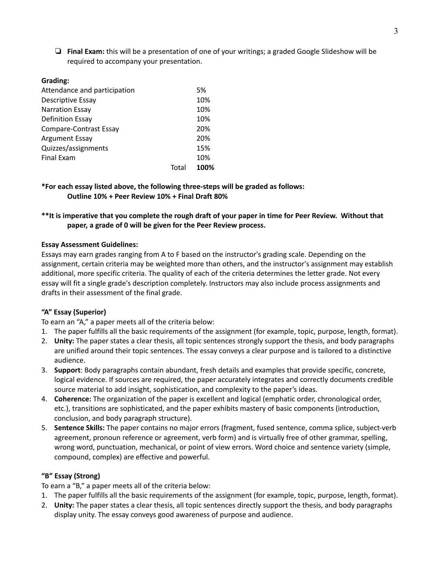❏ **Final Exam:** this will be a presentation of one of your writings; a graded Google Slideshow will be required to accompany your presentation.

## **Grading:**

|       | 5%   |
|-------|------|
|       | 10%  |
|       | 10%  |
|       | 10%  |
|       | 20%  |
|       | 20%  |
|       | 15%  |
|       | 10%  |
| Total | 100% |
|       |      |

**\*For each essay listed above, the following three-steps will be graded as follows: Outline 10% + Peer Review 10% + Final Draft 80%**

## \*\*It is imperative that you complete the rough draft of your paper in time for Peer Review. Without that **paper, a grade of 0 will be given for the Peer Review process.**

## **Essay Assessment Guidelines:**

Essays may earn grades ranging from A to F based on the instructor's grading scale. Depending on the assignment, certain criteria may be weighted more than others, and the instructor's assignment may establish additional, more specific criteria. The quality of each of the criteria determines the letter grade. Not every essay will fit a single grade's description completely. Instructors may also include process assignments and drafts in their assessment of the final grade.

## **"A" Essay (Superior)**

To earn an "A," a paper meets all of the criteria below:

- 1. The paper fulfills all the basic requirements of the assignment (for example, topic, purpose, length, format).
- 2. **Unity:** The paper states a clear thesis, all topic sentences strongly support the thesis, and body paragraphs are unified around their topic sentences. The essay conveys a clear purpose and is tailored to a distinctive audience.
- 3. **Support**: Body paragraphs contain abundant, fresh details and examples that provide specific, concrete, logical evidence. If sources are required, the paper accurately integrates and correctly documents credible source material to add insight, sophistication, and complexity to the paper's ideas.
- 4. **Coherence:** The organization of the paper is excellent and logical (emphatic order, chronological order, etc.), transitions are sophisticated, and the paper exhibits mastery of basic components (introduction, conclusion, and body paragraph structure).
- 5. **Sentence Skills:** The paper contains no major errors (fragment, fused sentence, comma splice, subject-verb agreement, pronoun reference or agreement, verb form) and is virtually free of other grammar, spelling, wrong word, punctuation, mechanical, or point of view errors. Word choice and sentence variety (simple, compound, complex) are effective and powerful.

## **"B" Essay (Strong)**

To earn a "B," a paper meets all of the criteria below:

- 1. The paper fulfills all the basic requirements of the assignment (for example, topic, purpose, length, format).
- 2. **Unity:** The paper states a clear thesis, all topic sentences directly support the thesis, and body paragraphs display unity. The essay conveys good awareness of purpose and audience.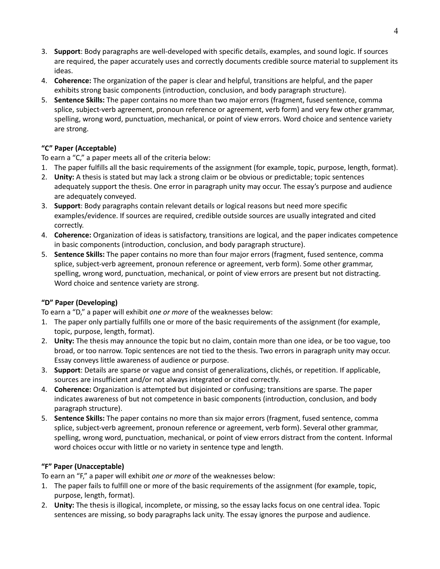- 3. **Support**: Body paragraphs are well-developed with specific details, examples, and sound logic. If sources are required, the paper accurately uses and correctly documents credible source material to supplement its ideas.
- 4. **Coherence:** The organization of the paper is clear and helpful, transitions are helpful, and the paper exhibits strong basic components (introduction, conclusion, and body paragraph structure).
- 5. **Sentence Skills:** The paper contains no more than two major errors (fragment, fused sentence, comma splice, subject-verb agreement, pronoun reference or agreement, verb form) and very few other grammar, spelling, wrong word, punctuation, mechanical, or point of view errors. Word choice and sentence variety are strong.

# **"C" Paper (Acceptable)**

To earn a "C," a paper meets all of the criteria below:

- 1. The paper fulfills all the basic requirements of the assignment (for example, topic, purpose, length, format).
- 2. **Unity:** A thesis is stated but may lack a strong claim or be obvious or predictable; topic sentences adequately support the thesis. One error in paragraph unity may occur. The essay's purpose and audience are adequately conveyed.
- 3. **Support**: Body paragraphs contain relevant details or logical reasons but need more specific examples/evidence. If sources are required, credible outside sources are usually integrated and cited correctly.
- 4. **Coherence:** Organization of ideas is satisfactory, transitions are logical, and the paper indicates competence in basic components (introduction, conclusion, and body paragraph structure).
- 5. **Sentence Skills:** The paper contains no more than four major errors (fragment, fused sentence, comma splice, subject-verb agreement, pronoun reference or agreement, verb form). Some other grammar, spelling, wrong word, punctuation, mechanical, or point of view errors are present but not distracting. Word choice and sentence variety are strong.

## **"D" Paper (Developing)**

To earn a "D," a paper will exhibit *one or more* of the weaknesses below:

- 1. The paper only partially fulfills one or more of the basic requirements of the assignment (for example, topic, purpose, length, format).
- 2. **Unity:** The thesis may announce the topic but no claim, contain more than one idea, or be too vague, too broad, or too narrow. Topic sentences are not tied to the thesis. Two errors in paragraph unity may occur. Essay conveys little awareness of audience or purpose.
- 3. **Support**: Details are sparse or vague and consist of generalizations, clichés, or repetition. If applicable, sources are insufficient and/or not always integrated or cited correctly.
- 4. **Coherence:** Organization is attempted but disjointed or confusing; transitions are sparse. The paper indicates awareness of but not competence in basic components (introduction, conclusion, and body paragraph structure).
- 5. **Sentence Skills:** The paper contains no more than six major errors (fragment, fused sentence, comma splice, subject-verb agreement, pronoun reference or agreement, verb form). Several other grammar, spelling, wrong word, punctuation, mechanical, or point of view errors distract from the content. Informal word choices occur with little or no variety in sentence type and length.

# **"F" Paper (Unacceptable)**

To earn an "F," a paper will exhibit *one or more* of the weaknesses below:

- 1. The paper fails to fulfill one or more of the basic requirements of the assignment (for example, topic, purpose, length, format).
- 2. **Unity:** The thesis is illogical, incomplete, or missing, so the essay lacks focus on one central idea. Topic sentences are missing, so body paragraphs lack unity. The essay ignores the purpose and audience.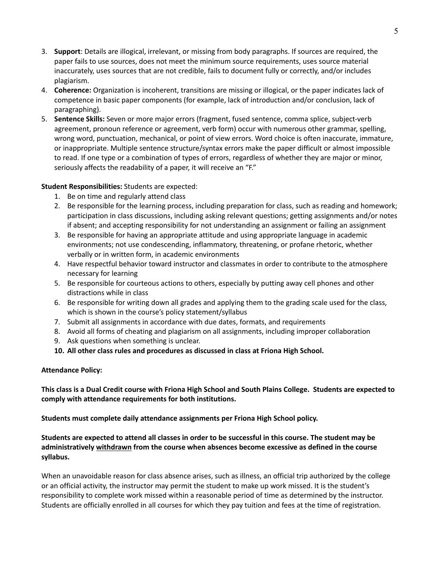- 3. **Support**: Details are illogical, irrelevant, or missing from body paragraphs. If sources are required, the paper fails to use sources, does not meet the minimum source requirements, uses source material inaccurately, uses sources that are not credible, fails to document fully or correctly, and/or includes plagiarism.
- 4. **Coherence:** Organization is incoherent, transitions are missing or illogical, or the paper indicates lack of competence in basic paper components (for example, lack of introduction and/or conclusion, lack of paragraphing).
- 5. **Sentence Skills:** Seven or more major errors (fragment, fused sentence, comma splice, subject-verb agreement, pronoun reference or agreement, verb form) occur with numerous other grammar, spelling, wrong word, punctuation, mechanical, or point of view errors. Word choice is often inaccurate, immature, or inappropriate. Multiple sentence structure/syntax errors make the paper difficult or almost impossible to read. If one type or a combination of types of errors, regardless of whether they are major or minor, seriously affects the readability of a paper, it will receive an "F."

## **Student Responsibilities:** Students are expected:

- 1. Be on time and regularly attend class
- 2. Be responsible for the learning process, including preparation for class, such as reading and homework; participation in class discussions, including asking relevant questions; getting assignments and/or notes if absent; and accepting responsibility for not understanding an assignment or failing an assignment
- 3. Be responsible for having an appropriate attitude and using appropriate language in academic environments; not use condescending, inflammatory, threatening, or profane rhetoric, whether verbally or in written form, in academic environments
- 4. Have respectful behavior toward instructor and classmates in order to contribute to the atmosphere necessary for learning
- 5. Be responsible for courteous actions to others, especially by putting away cell phones and other distractions while in class
- 6. Be responsible for writing down all grades and applying them to the grading scale used for the class, which is shown in the course's policy statement/syllabus
- 7. Submit all assignments in accordance with due dates, formats, and requirements
- 8. Avoid all forms of cheating and plagiarism on all assignments, including improper collaboration
- 9. Ask questions when something is unclear.
- **10. All other class rules and procedures as discussed in class at Friona High School.**

## **Attendance Policy:**

This class is a Dual Credit course with Friona High School and South Plains College. Students are expected to **comply with attendance requirements for both institutions.**

**Students must complete daily attendance assignments per Friona High School policy.**

Students are expected to attend all classes in order to be successful in this course. The student may be **administratively withdrawn from the course when absences become excessive as defined in the course syllabus.**

When an unavoidable reason for class absence arises, such as illness, an official trip authorized by the college or an official activity, the instructor may permit the student to make up work missed. It is the student's responsibility to complete work missed within a reasonable period of time as determined by the instructor. Students are officially enrolled in all courses for which they pay tuition and fees at the time of registration.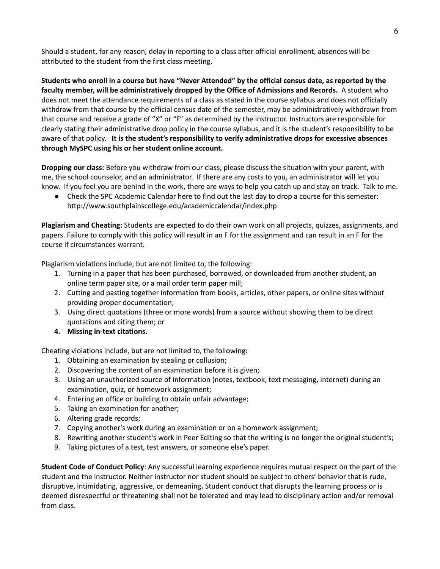Should a student, for any reason, delay in reporting to a class after official enrollment, absences will be attributed to the student from the first class meeting.

Students who enroll in a course but have "Never Attended" by the official census date, as reported by the **faculty member, will be administratively dropped by the Office of Admissions and Records.** A student who does not meet the attendance requirements of a class as stated in the course syllabus and does not officially withdraw from that course by the official census date of the semester, may be administratively withdrawn from that course and receive a grade of "X" or "F" as determined by the instructor. Instructors are responsible for clearly stating their administrative drop policy in the course syllabus, and it is the student's responsibility to be aware of that policy. **It is the student's responsibility to verify administrative drops for excessive absences through MySPC using his or her student online account.**

**Dropping our class:** Before you withdraw from our class, please discuss the situation with your parent, with me, the school counselor, and an administrator. If there are any costs to you, an administrator will let you know. If you feel you are behind in the work, there are ways to help you catch up and stay on track. Talk to me.

● Check the SPC Academic Calendar here to find out the last day to drop a course for this semester: http://www.southplainscollege.edu/academiccalendar/index.php

**Plagiarism and Cheating:** Students are expected to do their own work on all projects, quizzes, assignments, and papers. Failure to comply with this policy will result in an F for the assignment and can result in an F for the course if circumstances warrant.

Plagiarism violations include, but are not limited to, the following:

- 1. Turning in a paper that has been purchased, borrowed, or downloaded from another student, an online term paper site, or a mail order term paper mill;
- 2. Cutting and pasting together information from books, articles, other papers, or online sites without providing proper documentation;
- 3. Using direct quotations (three or more words) from a source without showing them to be direct quotations and citing them; or
- **4. Missing in-text citations.**

Cheating violations include, but are not limited to, the following:

- 1. Obtaining an examination by stealing or collusion;
- 2. Discovering the content of an examination before it is given;
- 3. Using an unauthorized source of information (notes, textbook, text messaging, internet) during an examination, quiz, or homework assignment;
- 4. Entering an office or building to obtain unfair advantage;
- 5. Taking an examination for another;
- 6. Altering grade records;
- 7. Copying another's work during an examination or on a homework assignment;
- 8. Rewriting another student's work in Peer Editing so that the writing is no longer the original student's;
- 9. Taking pictures of a test, test answers, or someone else's paper.

**Student Code of Conduct Policy**: Any successful learning experience requires mutual respect on the part of the student and the instructor. Neither instructor nor student should be subject to others' behavior that is rude, disruptive, intimidating, aggressive, or demeaning**.** Student conduct that disrupts the learning process or is deemed disrespectful or threatening shall not be tolerated and may lead to disciplinary action and/or removal from class.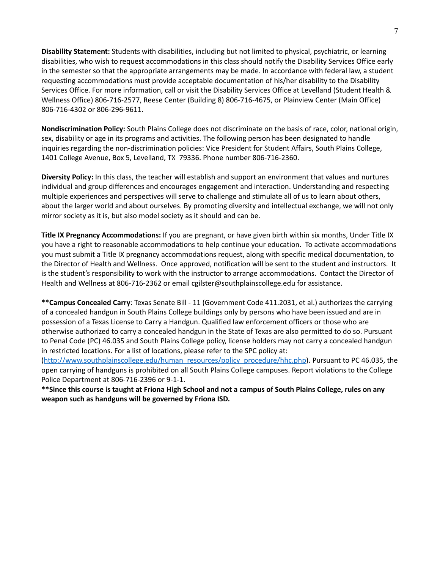**Disability Statement:** Students with disabilities, including but not limited to physical, psychiatric, or learning disabilities, who wish to request accommodations in this class should notify the Disability Services Office early in the semester so that the appropriate arrangements may be made. In accordance with federal law, a student requesting accommodations must provide acceptable documentation of his/her disability to the Disability Services Office. For more information, call or visit the Disability Services Office at Levelland (Student Health & Wellness Office) 806-716-2577, Reese Center (Building 8) 806-716-4675, or Plainview Center (Main Office) 806-716-4302 or 806-296-9611.

**Nondiscrimination Policy:** South Plains College does not discriminate on the basis of race, color, national origin, sex, disability or age in its programs and activities. The following person has been designated to handle inquiries regarding the non-discrimination policies: Vice President for Student Affairs, South Plains College, 1401 College Avenue, Box 5, Levelland, TX 79336. Phone number 806-716-2360.

**Diversity Policy:** In this class, the teacher will establish and support an environment that values and nurtures individual and group differences and encourages engagement and interaction. Understanding and respecting multiple experiences and perspectives will serve to challenge and stimulate all of us to learn about others, about the larger world and about ourselves. By promoting diversity and intellectual exchange, we will not only mirror society as it is, but also model society as it should and can be.

**Title IX Pregnancy Accommodations:** If you are pregnant, or have given birth within six months, Under Title IX you have a right to reasonable accommodations to help continue your education. To activate accommodations you must submit a Title IX pregnancy accommodations request, along with specific medical documentation, to the Director of Health and Wellness. Once approved, notification will be sent to the student and instructors. It is the student's responsibility to work with the instructor to arrange accommodations. Contact the Director of Health and Wellness at 806-716-2362 or email cgilster@southplainscollege.edu for assistance.

**\*\*Campus Concealed Carry**: Texas Senate Bill - 11 (Government Code 411.2031, et al.) authorizes the carrying of a concealed handgun in South Plains College buildings only by persons who have been issued and are in possession of a Texas License to Carry a Handgun. Qualified law enforcement officers or those who are otherwise authorized to carry a concealed handgun in the State of Texas are also permitted to do so. Pursuant to Penal Code (PC) 46.035 and South Plains College policy, license holders may not carry a concealed handgun in restricted locations. For a list of locations, please refer to the SPC policy at:

([http://www.southplainscollege.edu/human\\_resources/policy\\_procedure/hhc.php](http://www.southplainscollege.edu/human_resources/policy_procedure/hhc.php)). Pursuant to PC 46.035, the open carrying of handguns is prohibited on all South Plains College campuses. Report violations to the College Police Department at 806-716-2396 or 9-1-1.

\*\*Since this course is taught at Friona High School and not a campus of South Plains College, rules on any **weapon such as handguns will be governed by Friona ISD.**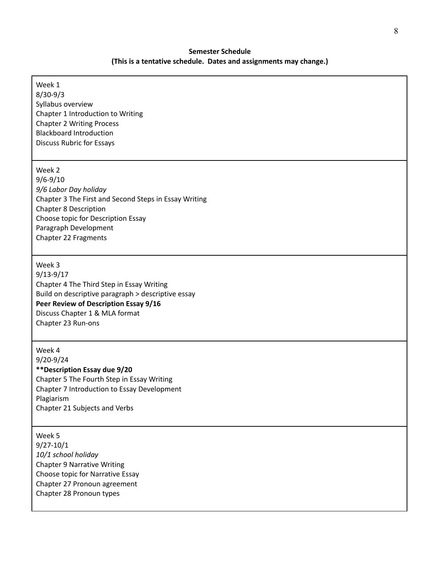# **Semester Schedule (This is a tentative schedule. Dates and assignments may change.)**

| Week 1                                                                  |
|-------------------------------------------------------------------------|
| $8/30-9/3$                                                              |
| Syllabus overview                                                       |
| Chapter 1 Introduction to Writing                                       |
| <b>Chapter 2 Writing Process</b>                                        |
| <b>Blackboard Introduction</b>                                          |
| <b>Discuss Rubric for Essays</b>                                        |
|                                                                         |
| Week 2                                                                  |
| $9/6 - 9/10$                                                            |
| 9/6 Labor Day holiday                                                   |
| Chapter 3 The First and Second Steps in Essay Writing                   |
| <b>Chapter 8 Description</b>                                            |
| Choose topic for Description Essay                                      |
| Paragraph Development                                                   |
| Chapter 22 Fragments                                                    |
|                                                                         |
|                                                                         |
| Week 3                                                                  |
| $9/13 - 9/17$                                                           |
| Chapter 4 The Third Step in Essay Writing                               |
| Build on descriptive paragraph > descriptive essay                      |
| Peer Review of Description Essay 9/16<br>Discuss Chapter 1 & MLA format |
| Chapter 23 Run-ons                                                      |
|                                                                         |
| Week 4                                                                  |
| $9/20 - 9/24$                                                           |
| ** Description Essay due 9/20                                           |
| Chapter 5 The Fourth Step in Essay Writing                              |
| Chapter 7 Introduction to Essay Development                             |
| Plagiarism                                                              |
| Chapter 21 Subjects and Verbs                                           |
|                                                                         |
| Week 5                                                                  |
| $9/27 - 10/1$                                                           |
| 10/1 school holiday                                                     |
| <b>Chapter 9 Narrative Writing</b>                                      |
| Choose topic for Narrative Essay                                        |
| Chanter 27 Pronoun agreement                                            |

Г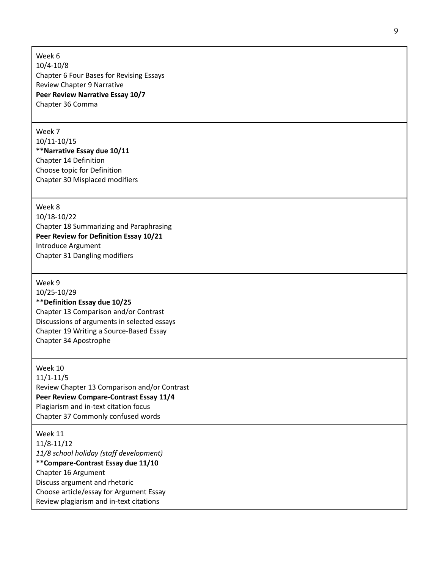Week 6 1 0 / 4 - 1 0 / 8 Chapter 6 Four Bases for Revising Essays Review Chapter 9 Narrative Peer Review Narrative Essay 10/7 Chapter 36 Comma

Week 7

10/11-10/15 \*\*Narrative Essay due 10/11 Chapter 14 Definition Choose topic for Definition Chapter 30 Misplaced modifiers

Week 8 10/18-10/22 Chapter 18 Summarizing and Paraphrasing Peer Review for Definition Essay 10/21 Introduce Argument Chapter 31 Dangling modifiers

Week 9 10/25-10/29 **\*\*Definition Essay due 10/25** Chapter 13 Comparison and/or Contrast Discussions of arguments in selected essays Chapter 19 Writing a Source-Based Essay Chapter 34 Apostrophe

Week 10 1 1 / 1 - 1 1 / 5 Review Chapter 13 Comparison and/or Contrast Peer Review Compare-Contrast Essay 11/4 Plagiarism and in-text citation focus Chapter 37 Commonly confused words

Week 11 1 1 / 8 - 1 1 / 1 2 11/8 school holiday (staff development) \*\*Compare-Contrast Essay due 11/10 Chapter 16 Argument Discuss argument and rhetoric Choose article/essay for Argument Essay Review plagiarism and in-text citations